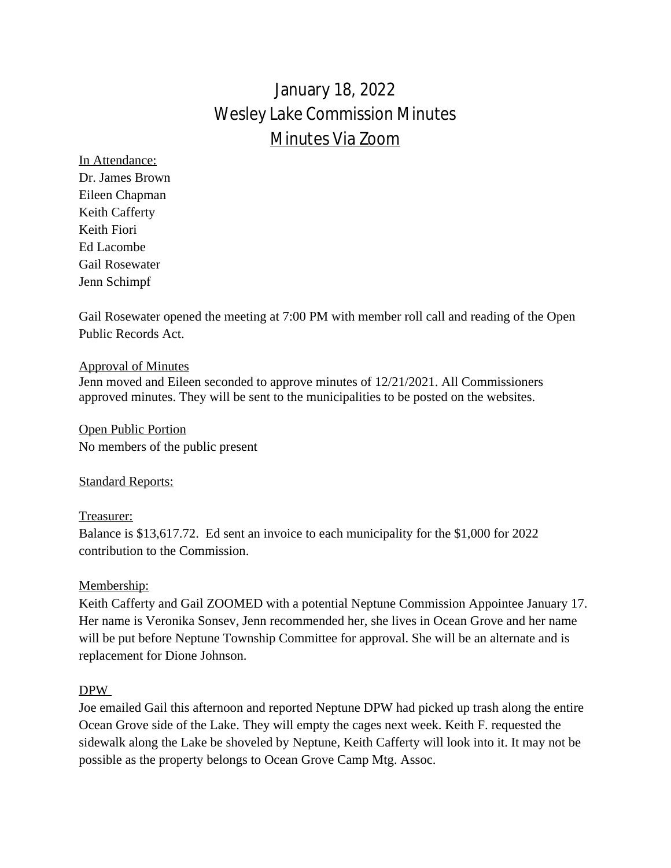# January 18, 2022 Wesley Lake Commission Minutes Minutes Via Zoom

In Attendance: Dr. James Brown Eileen Chapman Keith Cafferty Keith Fiori Ed Lacombe Gail Rosewater Jenn Schimpf

Gail Rosewater opened the meeting at 7:00 PM with member roll call and reading of the Open Public Records Act.

#### Approval of Minutes

Jenn moved and Eileen seconded to approve minutes of 12/21/2021. All Commissioners approved minutes. They will be sent to the municipalities to be posted on the websites.

Open Public Portion No members of the public present

# **Standard Reports:**

# Treasurer:

Balance is \$13,617.72. Ed sent an invoice to each municipality for the \$1,000 for 2022 contribution to the Commission.

# Membership:

Keith Cafferty and Gail ZOOMED with a potential Neptune Commission Appointee January 17. Her name is Veronika Sonsev, Jenn recommended her, she lives in Ocean Grove and her name will be put before Neptune Township Committee for approval. She will be an alternate and is replacement for Dione Johnson.

#### DPW

Joe emailed Gail this afternoon and reported Neptune DPW had picked up trash along the entire Ocean Grove side of the Lake. They will empty the cages next week. Keith F. requested the sidewalk along the Lake be shoveled by Neptune, Keith Cafferty will look into it. It may not be possible as the property belongs to Ocean Grove Camp Mtg. Assoc.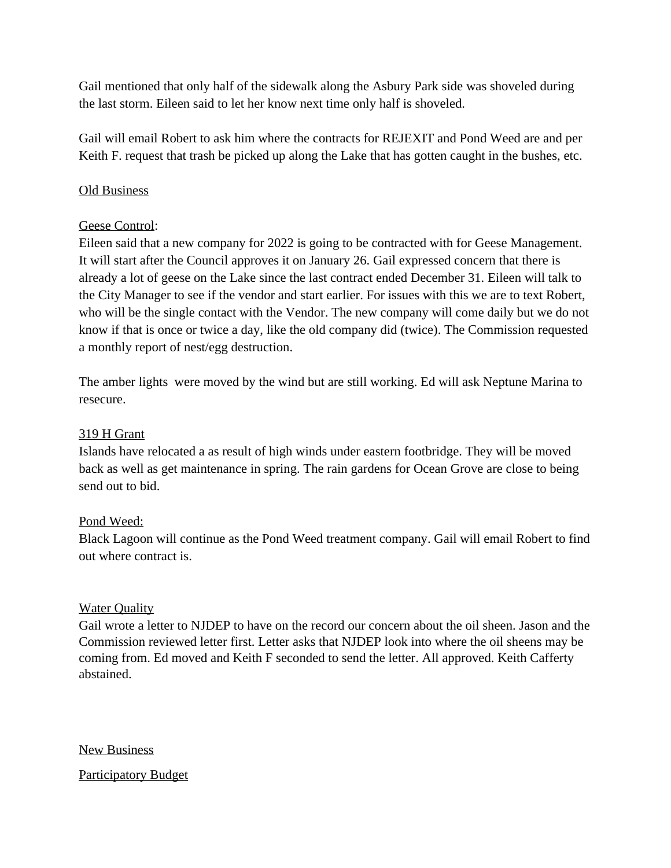Gail mentioned that only half of the sidewalk along the Asbury Park side was shoveled during the last storm. Eileen said to let her know next time only half is shoveled.

Gail will email Robert to ask him where the contracts for REJEXIT and Pond Weed are and per Keith F. request that trash be picked up along the Lake that has gotten caught in the bushes, etc.

# Old Business

# Geese Control:

Eileen said that a new company for 2022 is going to be contracted with for Geese Management. It will start after the Council approves it on January 26. Gail expressed concern that there is already a lot of geese on the Lake since the last contract ended December 31. Eileen will talk to the City Manager to see if the vendor and start earlier. For issues with this we are to text Robert, who will be the single contact with the Vendor. The new company will come daily but we do not know if that is once or twice a day, like the old company did (twice). The Commission requested a monthly report of nest/egg destruction.

The amber lights were moved by the wind but are still working. Ed will ask Neptune Marina to resecure.

# 319 H Grant

Islands have relocated a as result of high winds under eastern footbridge. They will be moved back as well as get maintenance in spring. The rain gardens for Ocean Grove are close to being send out to bid.

# Pond Weed:

Black Lagoon will continue as the Pond Weed treatment company. Gail will email Robert to find out where contract is.

# **Water Quality**

Gail wrote a letter to NJDEP to have on the record our concern about the oil sheen. Jason and the Commission reviewed letter first. Letter asks that NJDEP look into where the oil sheens may be coming from. Ed moved and Keith F seconded to send the letter. All approved. Keith Cafferty abstained.

New Business

Participatory Budget